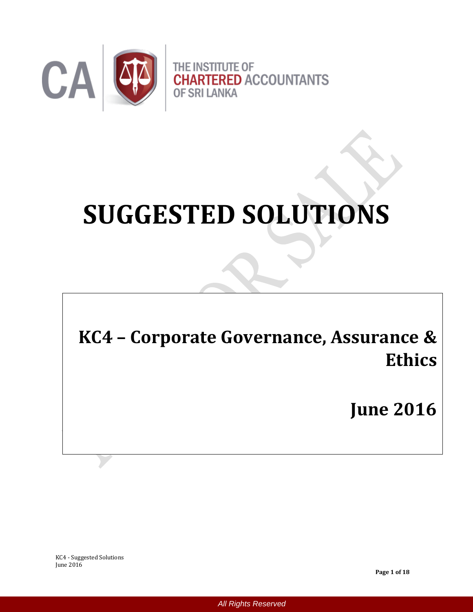

# **SUGGESTED SOLUTIONS**

**KC4 – Corporate Governance, Assurance & Ethics**

**June 2016**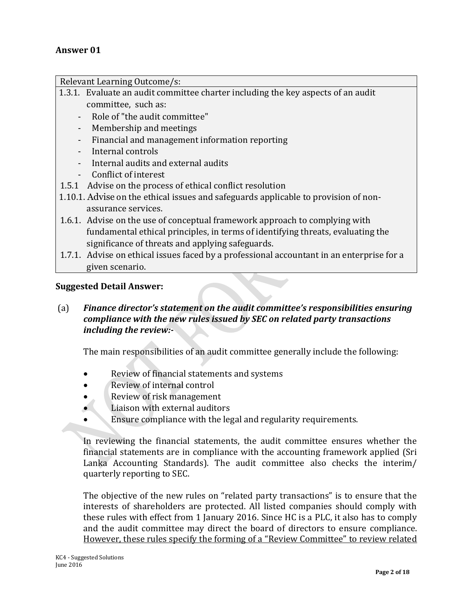Relevant Learning Outcome/s:

- 1.3.1. Evaluate an audit committee charter including the key aspects of an audit committee, such as:
	- Role of "the audit committee"
	- Membership and meetings
	- Financial and management information reporting
	- Internal controls
	- Internal audits and external audits
	- Conflict of interest
- 1.5.1 Advise on the process of ethical conflict resolution
- 1.10.1. Advise on the ethical issues and safeguards applicable to provision of nonassurance services.
- 1.6.1. Advise on the use of conceptual framework approach to complying with fundamental ethical principles, in terms of identifying threats, evaluating the significance of threats and applying safeguards.
- 1.7.1. Advise on ethical issues faced by a professional accountant in an enterprise for a given scenario.

## **Suggested Detail Answer:**

(a) *Finance director's statement on the audit committee's responsibilities ensuring compliance with the new rules issued by SEC on related party transactions including the review:-*

The main responsibilities of an audit committee generally include the following:

- Review of financial statements and systems
- Review of internal control
- Review of risk management
- Liaison with external auditors
- **Ensure compliance with the legal and regularity requirements.**

In reviewing the financial statements, the audit committee ensures whether the financial statements are in compliance with the accounting framework applied (Sri Lanka Accounting Standards). The audit committee also checks the interim/ quarterly reporting to SEC.

The objective of the new rules on "related party transactions" is to ensure that the interests of shareholders are protected. All listed companies should comply with these rules with effect from 1 January 2016. Since HC is a PLC, it also has to comply and the audit committee may direct the board of directors to ensure compliance. However, these rules specify the forming of a "Review Committee" to review related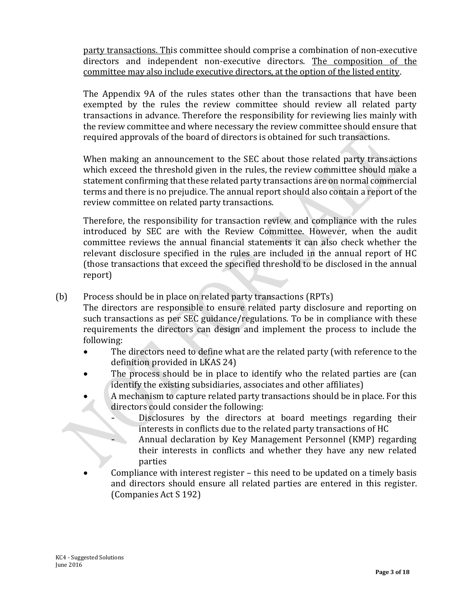party transactions. This committee should comprise a combination of non-executive directors and independent non-executive directors. The composition of the committee may also include executive directors, at the option of the listed entity.

The Appendix 9A of the rules states other than the transactions that have been exempted by the rules the review committee should review all related party transactions in advance. Therefore the responsibility for reviewing lies mainly with the review committee and where necessary the review committee should ensure that required approvals of the board of directors is obtained for such transactions.

When making an announcement to the SEC about those related party transactions which exceed the threshold given in the rules, the review committee should make a statement confirming that these related party transactions are on normal commercial terms and there is no prejudice. The annual report should also contain a report of the review committee on related party transactions.

Therefore, the responsibility for transaction review and compliance with the rules introduced by SEC are with the Review Committee. However, when the audit committee reviews the annual financial statements it can also check whether the relevant disclosure specified in the rules are included in the annual report of HC (those transactions that exceed the specified threshold to be disclosed in the annual report)

(b) Process should be in place on related party transactions (RPTs)

The directors are responsible to ensure related party disclosure and reporting on such transactions as per SEC guidance/regulations. To be in compliance with these requirements the directors can design and implement the process to include the following:

- The directors need to define what are the related party (with reference to the definition provided in LKAS 24)
- The process should be in place to identify who the related parties are (can identify the existing subsidiaries, associates and other affiliates)
- A mechanism to capture related party transactions should be in place. For this directors could consider the following:
	- Disclosures by the directors at board meetings regarding their interests in conflicts due to the related party transactions of HC
	- Annual declaration by Key Management Personnel (KMP) regarding their interests in conflicts and whether they have any new related parties
- Compliance with interest register this need to be updated on a timely basis and directors should ensure all related parties are entered in this register. (Companies Act S 192)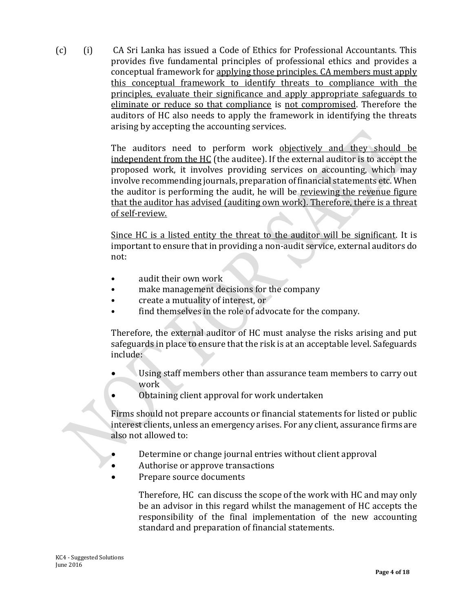(c) (i) CA Sri Lanka has issued a Code of Ethics for Professional Accountants. This provides five fundamental principles of professional ethics and provides a conceptual framework for applying those principles. CA members must apply this conceptual framework to identify threats to compliance with the principles, evaluate their significance and apply appropriate safeguards to eliminate or reduce so that compliance is not compromised. Therefore the auditors of HC also needs to apply the framework in identifying the threats arising by accepting the accounting services.

> The auditors need to perform work objectively and they should be independent from the HC (the auditee). If the external auditor is to accept the proposed work, it involves providing services on accounting, which may involve recommending journals, preparation of financial statements etc. When the auditor is performing the audit, he will be reviewing the revenue figure that the auditor has advised (auditing own work). Therefore, there is a threat of self-review.

> Since HC is a listed entity the threat to the auditor will be significant. It is important to ensure that in providing a non-audit service, external auditors do not:

- audit their own work
- make management decisions for the company
- create a mutuality of interest, or
- find themselves in the role of advocate for the company.

Therefore, the external auditor of HC must analyse the risks arising and put safeguards in place to ensure that the risk is at an acceptable level. Safeguards include:

- Using staff members other than assurance team members to carry out work
- Obtaining client approval for work undertaken

Firms should not prepare accounts or financial statements for listed or public interest clients, unless an emergency arises. For any client, assurance firms are also not allowed to:

- Determine or change journal entries without client approval
- Authorise or approve transactions
- Prepare source documents

Therefore, HC can discuss the scope of the work with HC and may only be an advisor in this regard whilst the management of HC accepts the responsibility of the final implementation of the new accounting standard and preparation of financial statements.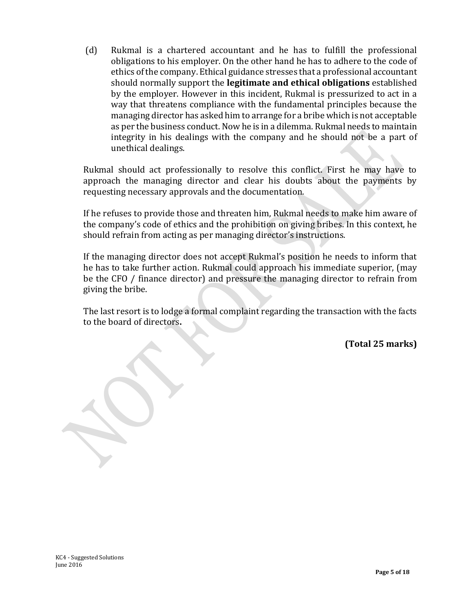(d) Rukmal is a chartered accountant and he has to fulfill the professional obligations to his employer. On the other hand he has to adhere to the code of ethics of the company. Ethical guidance stresses that a professional accountant should normally support the **legitimate and ethical obligations** established by the employer. However in this incident, Rukmal is pressurized to act in a way that threatens compliance with the fundamental principles because the managing director has asked him to arrange for a bribe which is not acceptable as per the business conduct. Now he is in a dilemma. Rukmal needs to maintain integrity in his dealings with the company and he should not be a part of unethical dealings.

Rukmal should act professionally to resolve this conflict. First he may have to approach the managing director and clear his doubts about the payments by requesting necessary approvals and the documentation.

If he refuses to provide those and threaten him, Rukmal needs to make him aware of the company's code of ethics and the prohibition on giving bribes. In this context, he should refrain from acting as per managing director's instructions.

If the managing director does not accept Rukmal's position he needs to inform that he has to take further action. Rukmal could approach his immediate superior, (may be the CFO / finance director) and pressure the managing director to refrain from giving the bribe.

The last resort is to lodge a formal complaint regarding the transaction with the facts to the board of directors**.** 

**(Total 25 marks)**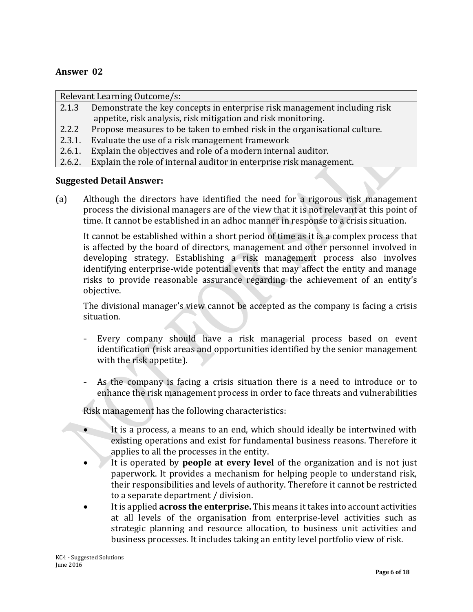## **Answer 02**

Relevant Learning Outcome/s:

- 2.1.3 Demonstrate the key concepts in enterprise risk management including risk appetite, risk analysis, risk mitigation and risk monitoring.
- 2.2.2 Propose measures to be taken to embed risk in the organisational culture.
- 2.3.1. Evaluate the use of a risk management framework
- 2.6.1. Explain the objectives and role of a modern internal auditor.
- 2.6.2. Explain the role of internal auditor in enterprise risk management.

#### **Suggested Detail Answer:**

(a) Although the directors have identified the need for a rigorous risk management process the divisional managers are of the view that it is not relevant at this point of time. It cannot be established in an adhoc manner in response to a crisis situation.

It cannot be established within a short period of time as it is a complex process that is affected by the board of directors, management and other personnel involved in developing strategy. Establishing a risk management process also involves identifying enterprise-wide potential events that may affect the entity and manage risks to provide reasonable assurance regarding the achievement of an entity's objective.

The divisional manager's view cannot be accepted as the company is facing a crisis situation.

- Every company should have a risk managerial process based on event identification (risk areas and opportunities identified by the senior management with the risk appetite).
- As the company is facing a crisis situation there is a need to introduce or to enhance the risk management process in order to face threats and vulnerabilities

Risk management has the following characteristics:

- It is a process, a means to an end, which should ideally be intertwined with existing operations and exist for fundamental business reasons. Therefore it applies to all the processes in the entity.
- It is operated by **people at every level** of the organization and is not just paperwork. It provides a mechanism for helping people to understand risk, their responsibilities and levels of authority. Therefore it cannot be restricted to a separate department / division.
- It is applied **across the enterprise.** This means it takes into account activities at all levels of the organisation from enterprise-level activities such as strategic planning and resource allocation, to business unit activities and business processes. It includes taking an entity level portfolio view of risk.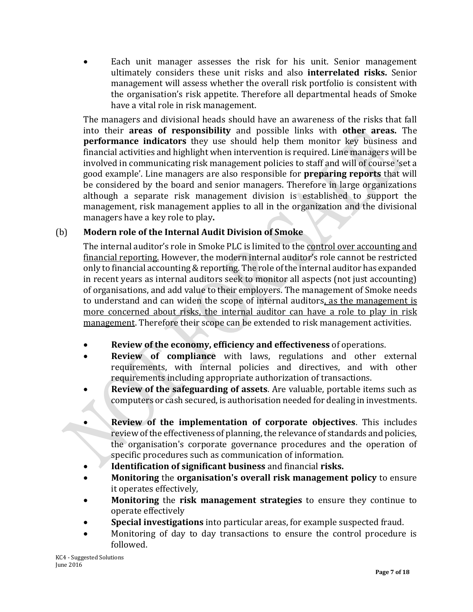Each unit manager assesses the risk for his unit. Senior management ultimately considers these unit risks and also **interrelated risks.** Senior management will assess whether the overall risk portfolio is consistent with the organisation's risk appetite. Therefore all departmental heads of Smoke have a vital role in risk management.

The managers and divisional heads should have an awareness of the risks that fall into their **areas of responsibility** and possible links with **other areas.** The **performance indicators** they use should help them monitor key business and financial activities and highlight when intervention is required. Line managers will be involved in communicating risk management policies to staff and will of course 'set a good example'. Line managers are also responsible for **preparing reports** that will be considered by the board and senior managers. Therefore in large organizations although a separate risk management division is established to support the management, risk management applies to all in the organization and the divisional managers have a key role to play**.** 

# (b) **Modern role of the Internal Audit Division of Smoke**

The internal auditor's role in Smoke PLC is limited to the control over accounting and financial reporting. However, the modern internal auditor's role cannot be restricted only to financial accounting & reporting. The role of the internal auditor has expanded in recent years as internal auditors seek to monitor all aspects (not just accounting) of organisations, and add value to their employers. The management of Smoke needs to understand and can widen the scope of internal auditors, as the management is more concerned about risks, the internal auditor can have a role to play in risk management. Therefore their scope can be extended to risk management activities.

- **Review of the economy, efficiency and effectiveness** of operations.
- **Review of compliance** with laws, regulations and other external requirements, with internal policies and directives, and with other requirements including appropriate authorization of transactions.
- **Review of the safeguarding of assets**. Are valuable, portable items such as computers or cash secured, is authorisation needed for dealing in investments.
- **Review of the implementation of corporate objectives**. This includes review of the effectiveness of planning, the relevance of standards and policies, the organisation's corporate governance procedures and the operation of specific procedures such as communication of information.
- **Identification of significant business** and financial **risks.**
- **Monitoring** the **organisation's overall risk management policy** to ensure it operates effectively,
- **Monitoring** the **risk management strategies** to ensure they continue to operate effectively
- **Special investigations** into particular areas, for example suspected fraud.
- Monitoring of day to day transactions to ensure the control procedure is followed.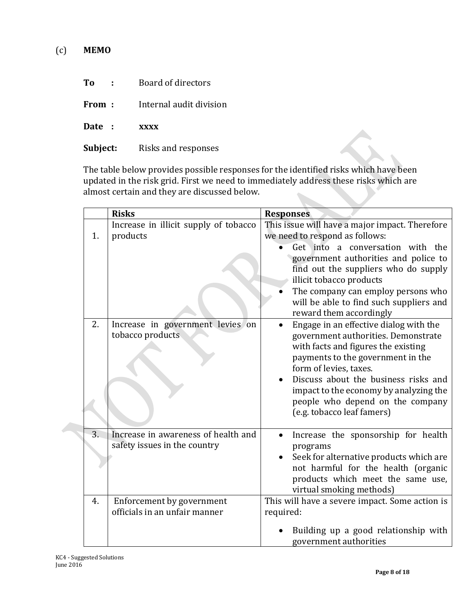- **To :** Board of directors
- **From** : Internal audit division
- **Date : xxxx**
- Subject: Risks and responses

The table below provides possible responses for the identified risks which have been updated in the risk grid. First we need to immediately address these risks which are almost certain and they are discussed below.

|    | <b>Risks</b>                                                        | <b>Responses</b>                                                                                                                                                                                                                                                                                                                        |
|----|---------------------------------------------------------------------|-----------------------------------------------------------------------------------------------------------------------------------------------------------------------------------------------------------------------------------------------------------------------------------------------------------------------------------------|
| 1. | Increase in illicit supply of tobacco<br>products                   | This issue will have a major impact. Therefore<br>we need to respond as follows:                                                                                                                                                                                                                                                        |
|    |                                                                     | Get into a conversation with the<br>government authorities and police to<br>find out the suppliers who do supply<br>illicit tobacco products<br>The company can employ persons who<br>will be able to find such suppliers and<br>reward them accordingly                                                                                |
| 2. | Increase in government levies on<br>tobacco products                | Engage in an effective dialog with the<br>government authorities. Demonstrate<br>with facts and figures the existing<br>payments to the government in the<br>form of levies, taxes.<br>Discuss about the business risks and<br>impact to the economy by analyzing the<br>people who depend on the company<br>(e.g. tobacco leaf famers) |
| 3. | Increase in awareness of health and<br>safety issues in the country | Increase the sponsorship for health<br>$\bullet$<br>programs<br>Seek for alternative products which are<br>not harmful for the health (organic<br>products which meet the same use,<br>virtual smoking methods)                                                                                                                         |
| 4. | Enforcement by government<br>officials in an unfair manner          | This will have a severe impact. Some action is<br>required:                                                                                                                                                                                                                                                                             |
|    |                                                                     | Building up a good relationship with<br>government authorities                                                                                                                                                                                                                                                                          |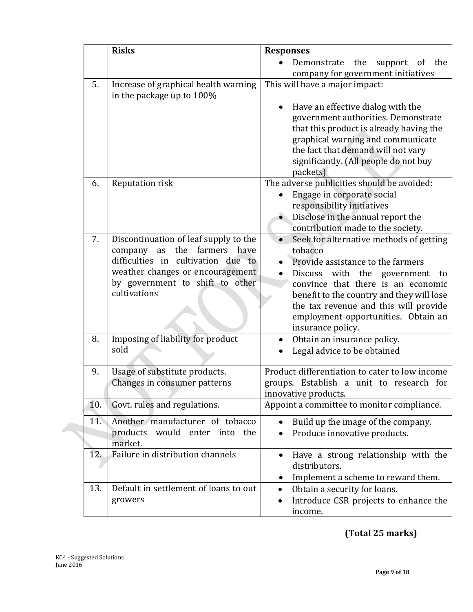|     | <b>Risks</b>                                                                                                                                                                                         | <b>Responses</b>                                                                                                                                                                                                                                                                                                               |
|-----|------------------------------------------------------------------------------------------------------------------------------------------------------------------------------------------------------|--------------------------------------------------------------------------------------------------------------------------------------------------------------------------------------------------------------------------------------------------------------------------------------------------------------------------------|
|     |                                                                                                                                                                                                      | Demonstrate<br>the<br>of<br>the<br>support<br>company for government initiatives                                                                                                                                                                                                                                               |
| 5.  | Increase of graphical health warning<br>in the package up to 100%                                                                                                                                    | This will have a major impact:<br>Have an effective dialog with the<br>government authorities. Demonstrate<br>that this product is already having the<br>graphical warning and communicate<br>the fact that demand will not vary<br>significantly. (All people do not buy<br>packets)                                          |
| 6.  | Reputation risk                                                                                                                                                                                      | The adverse publicities should be avoided:<br>Engage in corporate social<br>responsibility initiatives<br>Disclose in the annual report the<br>contribution made to the society.                                                                                                                                               |
| 7.  | Discontinuation of leaf supply to the<br>company as the farmers<br>have<br>difficulties in cultivation due to<br>weather changes or encouragement<br>by government to shift to other<br>cultivations | Seek for alternative methods of getting<br>tobacco<br>Provide assistance to the farmers<br>with the government<br><b>Discuss</b><br>to<br>convince that there is an economic<br>benefit to the country and they will lose<br>the tax revenue and this will provide<br>employment opportunities. Obtain an<br>insurance policy. |
| 8.  | Imposing of liability for product<br>sold                                                                                                                                                            | Obtain an insurance policy.<br>Legal advice to be obtained                                                                                                                                                                                                                                                                     |
| 9.  | Usage of substitute products.<br>Changes in consumer patterns                                                                                                                                        | Product differentiation to cater to low income<br>groups. Establish a unit to research for<br>innovative products.                                                                                                                                                                                                             |
| 10. | Govt. rules and regulations.                                                                                                                                                                         | Appoint a committee to monitor compliance.                                                                                                                                                                                                                                                                                     |
| 11. | Another manufacturer of tobacco<br>products would enter into<br>the<br>market.                                                                                                                       | Build up the image of the company.<br>Produce innovative products.                                                                                                                                                                                                                                                             |
| 12. | Failure in distribution channels                                                                                                                                                                     | Have a strong relationship with the<br>distributors.<br>Implement a scheme to reward them.                                                                                                                                                                                                                                     |
| 13. | Default in settlement of loans to out<br>growers                                                                                                                                                     | Obtain a security for loans.<br>$\bullet$<br>Introduce CSR projects to enhance the<br>$\bullet$<br>income.                                                                                                                                                                                                                     |

**(Total 25 marks)**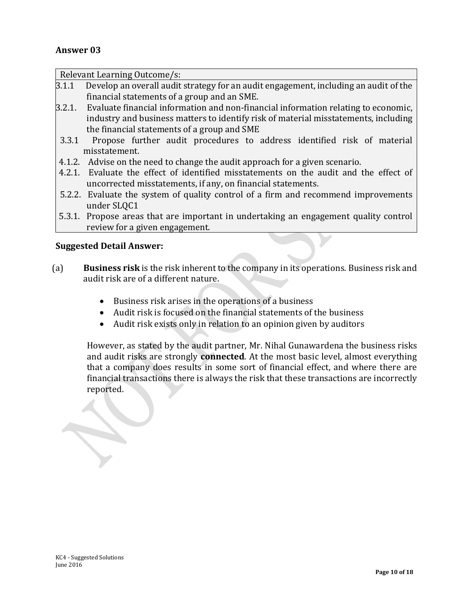## **Answer 03**

| Relevant Learning Outcome/s:                                                         |                                                                                       |  |  |  |
|--------------------------------------------------------------------------------------|---------------------------------------------------------------------------------------|--|--|--|
| 3.1.1                                                                                | Develop an overall audit strategy for an audit engagement, including an audit of the  |  |  |  |
|                                                                                      | financial statements of a group and an SME.                                           |  |  |  |
| 3.2.1.                                                                               | Evaluate financial information and non-financial information relating to economic,    |  |  |  |
|                                                                                      | industry and business matters to identify risk of material misstatements, including   |  |  |  |
|                                                                                      | the financial statements of a group and SME                                           |  |  |  |
| 3.3.1                                                                                | Propose further audit procedures to address identified risk of material               |  |  |  |
| misstatement.                                                                        |                                                                                       |  |  |  |
|                                                                                      | 4.1.2. Advise on the need to change the audit approach for a given scenario.          |  |  |  |
|                                                                                      | 4.2.1. Evaluate the effect of identified misstatements on the audit and the effect of |  |  |  |
|                                                                                      | uncorrected misstatements, if any, on financial statements.                           |  |  |  |
|                                                                                      | 5.2.2. Evaluate the system of quality control of a firm and recommend improvements    |  |  |  |
|                                                                                      | under SLQC1                                                                           |  |  |  |
| 5.3.1. Propose areas that are important in undertaking an engagement quality control |                                                                                       |  |  |  |
|                                                                                      | review for a given engagement.                                                        |  |  |  |
| <b>Suggested Detail Answer:</b>                                                      |                                                                                       |  |  |  |

- (a) **Business risk** is the risk inherent to the company in its operations. Business risk and audit risk are of a different nature.
	- Business risk arises in the operations of a business
	- Audit risk is focused on the financial statements of the business
	- Audit risk exists only in relation to an opinion given by auditors

However, as stated by the audit partner, Mr. Nihal Gunawardena the business risks and audit risks are strongly **connected**. At the most basic level, almost everything that a company does results in some sort of financial effect, and where there are financial transactions there is always the risk that these transactions are incorrectly reported.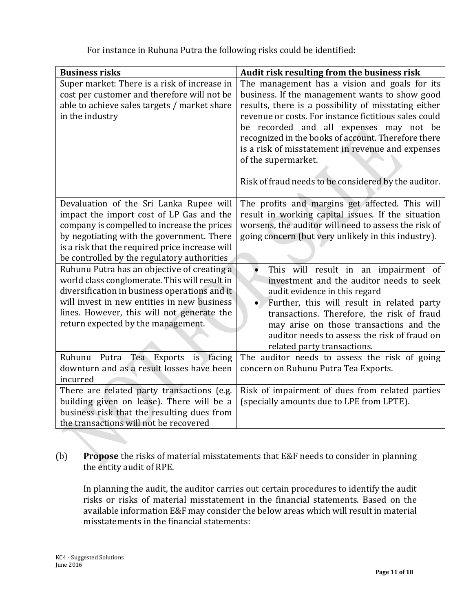| <b>Business risks</b>                                                                                                                                                                                                                                                             | Audit risk resulting from the business risk                                                                                                                                                                                                                                                                                                                                                                                                            |
|-----------------------------------------------------------------------------------------------------------------------------------------------------------------------------------------------------------------------------------------------------------------------------------|--------------------------------------------------------------------------------------------------------------------------------------------------------------------------------------------------------------------------------------------------------------------------------------------------------------------------------------------------------------------------------------------------------------------------------------------------------|
| Super market: There is a risk of increase in<br>cost per customer and therefore will not be<br>able to achieve sales targets / market share<br>in the industry                                                                                                                    | The management has a vision and goals for its<br>business. If the management wants to show good<br>results, there is a possibility of misstating either<br>revenue or costs. For instance fictitious sales could<br>be recorded and all expenses may not be<br>recognized in the books of account. Therefore there<br>is a risk of misstatement in revenue and expenses<br>of the supermarket.<br>Risk of fraud needs to be considered by the auditor. |
| Devaluation of the Sri Lanka Rupee will<br>impact the import cost of LP Gas and the<br>company is compelled to increase the prices<br>by negotiating with the government. There<br>is a risk that the required price increase will<br>be controlled by the regulatory authorities | The profits and margins get affected. This will<br>result in working capital issues. If the situation<br>worsens, the auditor will need to assess the risk of<br>going concern (but very unlikely in this industry).                                                                                                                                                                                                                                   |
| Ruhunu Putra has an objective of creating a<br>world class conglomerate. This will result in<br>diversification in business operations and it<br>will invest in new entities in new business<br>lines. However, this will not generate the<br>return expected by the management.  | $\bullet$<br>This will result in an impairment of<br>investment and the auditor needs to seek<br>audit evidence in this regard<br>Further, this will result in related party<br>$\bullet$<br>transactions. Therefore, the risk of fraud<br>may arise on those transactions and the<br>auditor needs to assess the risk of fraud on<br>related party transactions.                                                                                      |
| Tea<br>is facing<br>Ruhunu Putra<br><b>Exports</b><br>downturn and as a result losses have been<br>incurred                                                                                                                                                                       | The auditor needs to assess the risk of going<br>concern on Ruhunu Putra Tea Exports.                                                                                                                                                                                                                                                                                                                                                                  |
| There are related party transactions (e.g.<br>building given on lease). There will be a<br>business risk that the resulting dues from<br>the transactions will not be recovered                                                                                                   | Risk of impairment of dues from related parties<br>(specially amounts due to LPE from LPTE).                                                                                                                                                                                                                                                                                                                                                           |

For instance in Ruhuna Putra the following risks could be identified:

# (b) **Propose** the risks of material misstatements that E&F needs to consider in planning the entity audit of RPE.

In planning the audit, the auditor carries out certain procedures to identify the audit risks or risks of material misstatement in the financial statements. Based on the available information E&F may consider the below areas which will result in material misstatements in the financial statements: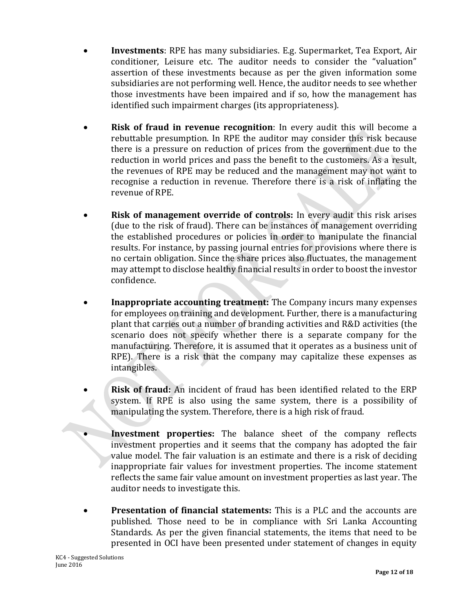- **Investments**: RPE has many subsidiaries. E.g. Supermarket, Tea Export, Air conditioner, Leisure etc. The auditor needs to consider the "valuation" assertion of these investments because as per the given information some subsidiaries are not performing well. Hence, the auditor needs to see whether those investments have been impaired and if so, how the management has identified such impairment charges (its appropriateness).
- **Risk of fraud in revenue recognition**: In every audit this will become a rebuttable presumption. In RPE the auditor may consider this risk because there is a pressure on reduction of prices from the government due to the reduction in world prices and pass the benefit to the customers. As a result, the revenues of RPE may be reduced and the management may not want to recognise a reduction in revenue. Therefore there is a risk of inflating the revenue of RPE.
- **Risk of management override of controls:** In every audit this risk arises (due to the risk of fraud). There can be instances of management overriding the established procedures or policies in order to manipulate the financial results. For instance, by passing journal entries for provisions where there is no certain obligation. Since the share prices also fluctuates, the management may attempt to disclose healthy financial results in order to boost the investor confidence.
- **Inappropriate accounting treatment:** The Company incurs many expenses for employees on training and development. Further, there is a manufacturing plant that carries out a number of branding activities and R&D activities (the scenario does not specify whether there is a separate company for the manufacturing. Therefore, it is assumed that it operates as a business unit of RPE). There is a risk that the company may capitalize these expenses as intangibles.
- **Risk of fraud:** An incident of fraud has been identified related to the ERP system. If RPE is also using the same system, there is a possibility of manipulating the system. Therefore, there is a high risk of fraud.
	- **Investment properties:** The balance sheet of the company reflects investment properties and it seems that the company has adopted the fair value model. The fair valuation is an estimate and there is a risk of deciding inappropriate fair values for investment properties. The income statement reflects the same fair value amount on investment properties as last year. The auditor needs to investigate this.
- **Presentation of financial statements:** This is a PLC and the accounts are published. Those need to be in compliance with Sri Lanka Accounting Standards. As per the given financial statements, the items that need to be presented in OCI have been presented under statement of changes in equity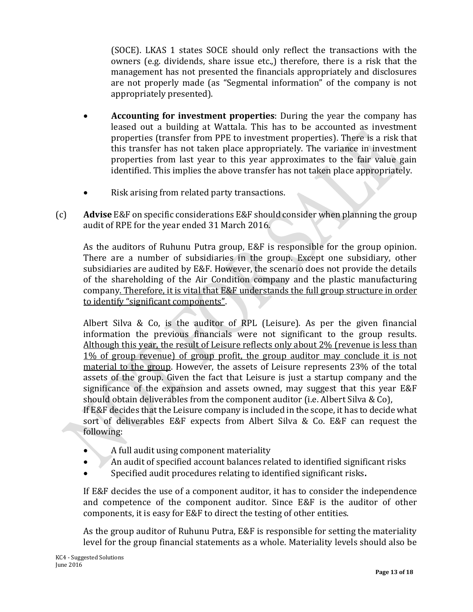(SOCE). LKAS 1 states SOCE should only reflect the transactions with the owners (e.g. dividends, share issue etc.,) therefore, there is a risk that the management has not presented the financials appropriately and disclosures are not properly made (as "Segmental information" of the company is not appropriately presented).

- **Accounting for investment properties**: During the year the company has leased out a building at Wattala. This has to be accounted as investment properties (transfer from PPE to investment properties). There is a risk that this transfer has not taken place appropriately. The variance in investment properties from last year to this year approximates to the fair value gain identified. This implies the above transfer has not taken place appropriately.
- Risk arising from related party transactions.
- (c) **Advise** E&F on specific considerations E&F should consider when planning the group audit of RPE for the year ended 31 March 2016.

As the auditors of Ruhunu Putra group, E&F is responsible for the group opinion. There are a number of subsidiaries in the group. Except one subsidiary, other subsidiaries are audited by E&F. However, the scenario does not provide the details of the shareholding of the Air Condition company and the plastic manufacturing company. Therefore, it is vital that E&F understands the full group structure in order to identify "significant components".

Albert Silva & Co, is the auditor of RPL (Leisure). As per the given financial information the previous financials were not significant to the group results. Although this year, the result of Leisure reflects only about 2% (revenue is less than 1% of group revenue) of group profit, the group auditor may conclude it is not material to the group. However, the assets of Leisure represents 23% of the total assets of the group. Given the fact that Leisure is just a startup company and the significance of the expansion and assets owned, may suggest that this year E&F should obtain deliverables from the component auditor (i.e. Albert Silva & Co), If E&F decides that the Leisure company is included in the scope, it has to decide what sort of deliverables E&F expects from Albert Silva & Co. E&F can request the following:

- A full audit using component materiality
- An audit of specified account balances related to identified significant risks
- Specified audit procedures relating to identified significant risks**.**

If E&F decides the use of a component auditor, it has to consider the independence and competence of the component auditor. Since E&F is the auditor of other components, it is easy for E&F to direct the testing of other entities.

As the group auditor of Ruhunu Putra, E&F is responsible for setting the materiality level for the group financial statements as a whole. Materiality levels should also be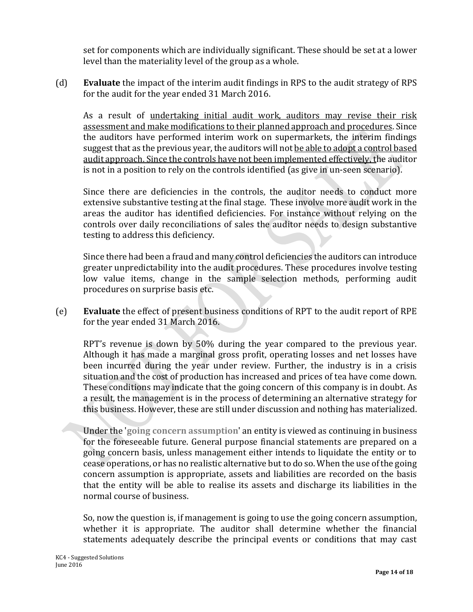set for components which are individually significant. These should be set at a lower level than the materiality level of the group as a whole.

(d) **Evaluate** the impact of the interim audit findings in RPS to the audit strategy of RPS for the audit for the year ended 31 March 2016.

As a result of undertaking initial audit work, auditors may revise their risk assessment and make modifications to their planned approach and procedures. Since the auditors have performed interim work on supermarkets, the interim findings suggest that as the previous year, the auditors will not be able to adopt a control based audit approach. Since the controls have not been implemented effectively, the auditor is not in a position to rely on the controls identified (as give in un-seen scenario).

Since there are deficiencies in the controls, the auditor needs to conduct more extensive substantive testing at the final stage. These involve more audit work in the areas the auditor has identified deficiencies. For instance without relying on the controls over daily reconciliations of sales the auditor needs to design substantive testing to address this deficiency.

Since there had been a fraud and many control deficiencies the auditors can introduce greater unpredictability into the audit procedures. These procedures involve testing low value items, change in the sample selection methods, performing audit procedures on surprise basis etc.

(e) **Evaluate** the effect of present business conditions of RPT to the audit report of RPE for the year ended 31 March 2016.

RPT's revenue is down by 50% during the year compared to the previous year. Although it has made a marginal gross profit, operating losses and net losses have been incurred during the year under review. Further, the industry is in a crisis situation and the cost of production has increased and prices of tea have come down. These conditions may indicate that the going concern of this company is in doubt. As a result, the management is in the process of determining an alternative strategy for this business. However, these are still under discussion and nothing has materialized.

Under the '**going concern assumption**' an entity is viewed as continuing in business for the foreseeable future. General purpose financial statements are prepared on a going concern basis, unless management either intends to liquidate the entity or to cease operations, or has no realistic alternative but to do so. When the use of the going concern assumption is appropriate, assets and liabilities are recorded on the basis that the entity will be able to realise its assets and discharge its liabilities in the normal course of business.

So, now the question is, if management is going to use the going concern assumption, whether it is appropriate. The auditor shall determine whether the financial statements adequately describe the principal events or conditions that may cast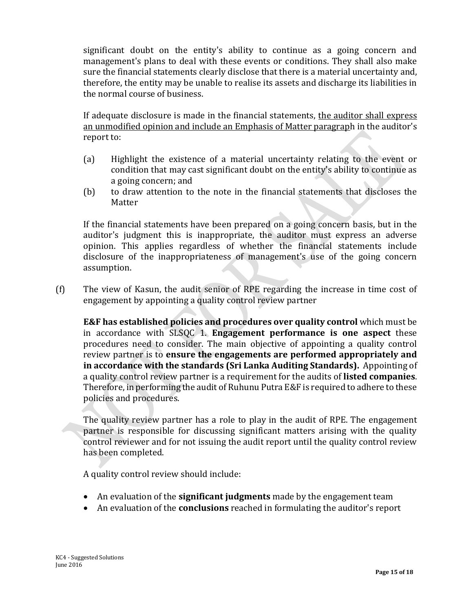significant doubt on the entity's ability to continue as a going concern and management's plans to deal with these events or conditions. They shall also make sure the financial statements clearly disclose that there is a material uncertainty and, therefore, the entity may be unable to realise its assets and discharge its liabilities in the normal course of business.

If adequate disclosure is made in the financial statements, the auditor shall express an unmodified opinion and include an Emphasis of Matter paragraph in the auditor's report to:

- (a) Highlight the existence of a material uncertainty relating to the event or condition that may cast significant doubt on the entity's ability to continue as a going concern; and
- (b) to draw attention to the note in the financial statements that discloses the Matter

If the financial statements have been prepared on a going concern basis, but in the auditor's judgment this is inappropriate, the auditor must express an adverse opinion. This applies regardless of whether the financial statements include disclosure of the inappropriateness of management's use of the going concern assumption.

(f) The view of Kasun, the audit senior of RPE regarding the increase in time cost of engagement by appointing a quality control review partner

**E&F has established policies and procedures over quality control** which must be in accordance with SLSQC 1. **Engagement performance is one aspect** these procedures need to consider. The main objective of appointing a quality control review partner is to **ensure the engagements are performed appropriately and in accordance with the standards (Sri Lanka Auditing Standards).** Appointing of a quality control review partner is a requirement for the audits of **listed companies**. Therefore, in performing the audit of Ruhunu Putra E&F is required to adhere to these policies and procedures.

The quality review partner has a role to play in the audit of RPE. The engagement partner is responsible for discussing significant matters arising with the quality control reviewer and for not issuing the audit report until the quality control review has been completed.

A quality control review should include:

- An evaluation of the **significant judgments** made by the engagement team
- An evaluation of the **conclusions** reached in formulating the auditor's report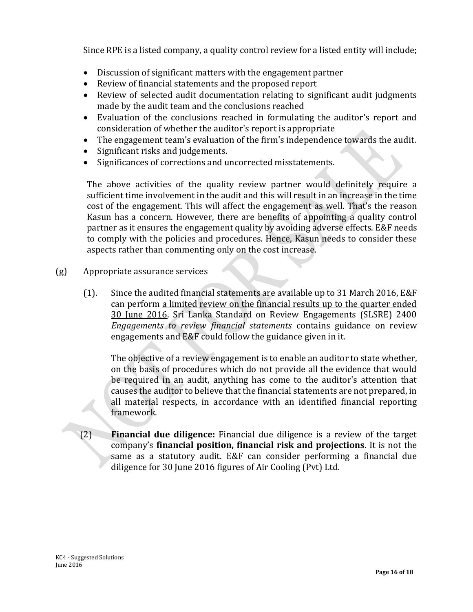Since RPE is a listed company, a quality control review for a listed entity will include;

- Discussion of significant matters with the engagement partner
- Review of financial statements and the proposed report
- Review of selected audit documentation relating to significant audit judgments made by the audit team and the conclusions reached
- Evaluation of the conclusions reached in formulating the auditor's report and consideration of whether the auditor's report is appropriate
- The engagement team's evaluation of the firm's independence towards the audit.
- Significant risks and judgements.
- Significances of corrections and uncorrected misstatements.

The above activities of the quality review partner would definitely require a sufficient time involvement in the audit and this will result in an increase in the time cost of the engagement. This will affect the engagement as well. That's the reason Kasun has a concern. However, there are benefits of appointing a quality control partner as it ensures the engagement quality by avoiding adverse effects. E&F needs to comply with the policies and procedures. Hence, Kasun needs to consider these aspects rather than commenting only on the cost increase.

- (g) Appropriate assurance services
	- (1). Since the audited financial statements are available up to 31 March 2016, E&F can perform a limited review on the financial results up to the quarter ended 30 June 2016. Sri Lanka Standard on Review Engagements (SLSRE) 2400 *Engagements to review financial statements* contains guidance on review engagements and E&F could follow the guidance given in it.

The objective of a review engagement is to enable an auditor to state whether, on the basis of procedures which do not provide all the evidence that would be required in an audit, anything has come to the auditor's attention that causes the auditor to believe that the financial statements are not prepared, in all material respects, in accordance with an identified financial reporting framework.

(2) **Financial due diligence:** Financial due diligence is a review of the target company's **financial position, financial risk and projections**. It is not the same as a statutory audit. E&F can consider performing a financial due diligence for 30 June 2016 figures of Air Cooling (Pvt) Ltd.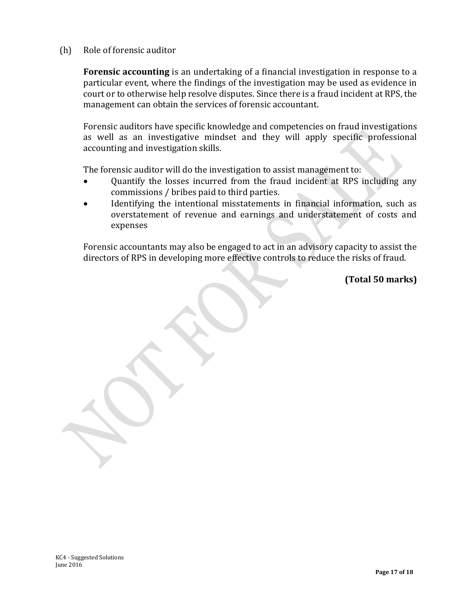(h) Role of forensic auditor

**Forensic accounting** is an undertaking of a financial investigation in response to a particular event, where the findings of the investigation may be used as evidence in court or to otherwise help resolve disputes. Since there is a fraud incident at RPS, the management can obtain the services of forensic accountant.

Forensic auditors have specific knowledge and competencies on fraud investigations as well as an investigative mindset and they will apply specific professional accounting and investigation skills.

The forensic auditor will do the investigation to assist management to:

- Quantify the losses incurred from the fraud incident at RPS including any commissions / bribes paid to third parties.
- Identifying the intentional misstatements in financial information, such as overstatement of revenue and earnings and understatement of costs and expenses

Forensic accountants may also be engaged to act in an advisory capacity to assist the directors of RPS in developing more effective controls to reduce the risks of fraud.

**(Total 50 marks)**